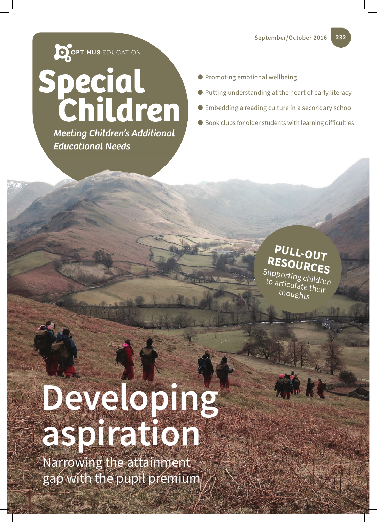

**Meeting Children's Additional Educational Needs** 

- Promoting emotional wellbeing
- Putting understanding at the heart of early literacy
- Embedding a reading culture in a secondary school
- $\bullet$  Book clubs for older students with learning difficulties

## **PULL-OUT RESOURCES**

Supporting children to articulate their thoughts

## **Developing aspiration**

Narrowing the attainment gap with the pupil premium